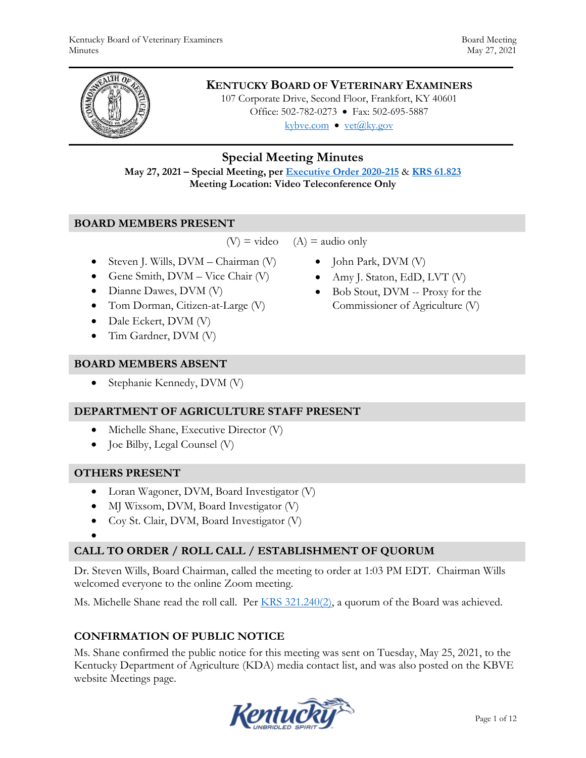

## **KENTUCKY BOARD OF VETERINARY EXAMINERS**

107 Corporate Drive, Second Floor, Frankfort, KY 40601 Office: 502-782-0273 • Fax: 502-695-5887 kybve.com  $\bullet$  yet $(\partial_k ky.gov)$ 

### **Special Meeting Minutes**

**May 27, 2021 – Special Meeting, per [Executive Order 2020-215](https://governor.ky.gov/attachments/20200306_Executive-Order_2020-215.pdf)** & **[KRS 61.823](https://apps.legislature.ky.gov/law/statutes/statute.aspx?id=23047) Meeting Location: Video Teleconference Only**

#### **BOARD MEMBERS PRESENT**

 $(V)$  = video  $(A)$  = audio only

- Steven J. Wills,  $DVM Chairman (V)$
- Gene Smith,  $DVM Vice$  Chair  $(V)$
- Dianne Dawes, DVM (V)
- Tom Dorman, Citizen-at-Large (V)
- Dale Eckert, DVM (V)
- Tim Gardner, DVM (V)

#### **BOARD MEMBERS ABSENT**

• Stephanie Kennedy, DVM (V)

#### **DEPARTMENT OF AGRICULTURE STAFF PRESENT**

- Michelle Shane, Executive Director (V)
- Joe Bilby, Legal Counsel (V)

#### **OTHERS PRESENT**

- Loran Wagoner, DVM, Board Investigator (V)
- MJ Wixsom, DVM, Board Investigator (V)
- Coy St. Clair, DVM, Board Investigator (V)

 $\bullet$ 

### **CALL TO ORDER / ROLL CALL / ESTABLISHMENT OF QUORUM**

Dr. Steven Wills, Board Chairman, called the meeting to order at 1:03 PM EDT. Chairman Wills welcomed everyone to the online Zoom meeting.

Ms. Michelle Shane read the roll call. Per [KRS 321.240\(2\),](https://apps.legislature.ky.gov/law/statutes/statute.aspx?id=45333) a quorum of the Board was achieved.

### **CONFIRMATION OF PUBLIC NOTICE**

Ms. Shane confirmed the public notice for this meeting was sent on Tuesday, May 25, 2021, to the Kentucky Department of Agriculture (KDA) media contact list, and was also posted on the KBVE website Meetings page.



- John Park, DVM (V)
- Amy J. Staton, EdD, LVT (V)
- Bob Stout, DVM -- Proxy for the Commissioner of Agriculture (V)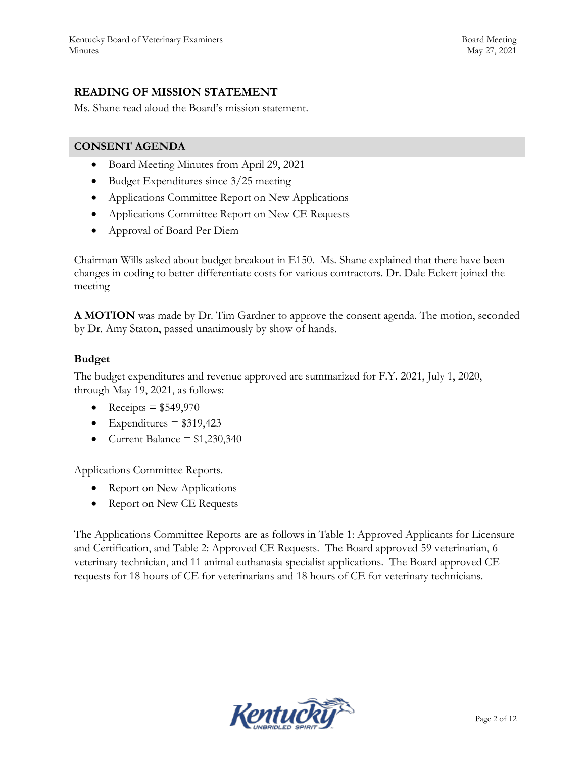## **READING OF MISSION STATEMENT**

Ms. Shane read aloud the Board's mission statement.

#### **CONSENT AGENDA**

- Board Meeting Minutes from April 29, 2021
- Budget Expenditures since 3/25 meeting
- Applications Committee Report on New Applications
- Applications Committee Report on New CE Requests
- Approval of Board Per Diem

Chairman Wills asked about budget breakout in E150. Ms. Shane explained that there have been changes in coding to better differentiate costs for various contractors. Dr. Dale Eckert joined the meeting

**A MOTION** was made by Dr. Tim Gardner to approve the consent agenda. The motion, seconded by Dr. Amy Staton, passed unanimously by show of hands.

### **Budget**

The budget expenditures and revenue approved are summarized for F.Y. 2021, July 1, 2020, through May 19, 2021, as follows:

- Receipts =  $$549,970$
- $\bullet$  Expenditures = \$319,423
- Current Balance =  $$1,230,340$

Applications Committee Reports.

- Report on New Applications
- Report on New CE Requests

The Applications Committee Reports are as follows in Table 1: Approved Applicants for Licensure and Certification, and Table 2: Approved CE Requests. The Board approved 59 veterinarian, 6 veterinary technician, and 11 animal euthanasia specialist applications. The Board approved CE requests for 18 hours of CE for veterinarians and 18 hours of CE for veterinary technicians.

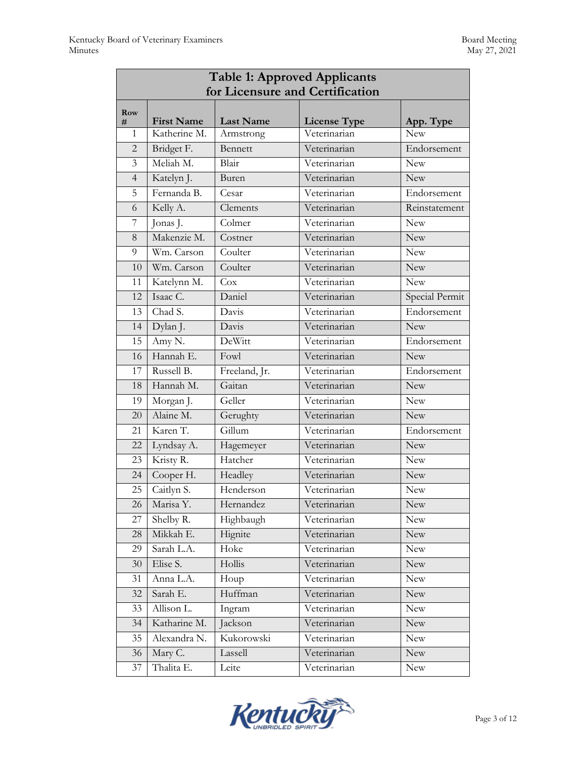| <b>Table 1: Approved Applicants</b> |                   |                  |                     |                |  |  |  |
|-------------------------------------|-------------------|------------------|---------------------|----------------|--|--|--|
| for Licensure and Certification     |                   |                  |                     |                |  |  |  |
| Row<br>#                            | <b>First Name</b> | <b>Last Name</b> | <b>License Type</b> | App. Type      |  |  |  |
| 1                                   | Katherine M.      | Armstrong        | Veterinarian        | New            |  |  |  |
| 2                                   | Bridget F.        | Bennett          | Veterinarian        | Endorsement    |  |  |  |
| 3                                   | Meliah M.         | Blair            | Veterinarian        | <b>New</b>     |  |  |  |
| $\overline{4}$                      | Katelyn J.        | Buren            | Veterinarian        | <b>New</b>     |  |  |  |
| 5                                   | Fernanda B.       | Cesar            | Veterinarian        | Endorsement    |  |  |  |
| 6                                   | Kelly A.          | Clements         | Veterinarian        | Reinstatement  |  |  |  |
| 7                                   | Jonas J.          | Colmer           | Veterinarian        | <b>New</b>     |  |  |  |
| 8                                   | Makenzie M.       | Costner          | Veterinarian        | <b>New</b>     |  |  |  |
| 9                                   | Wm. Carson        | Coulter          | Veterinarian        | <b>New</b>     |  |  |  |
| 10                                  | Wm. Carson        | Coulter          | Veterinarian        | New            |  |  |  |
| 11                                  | Katelynn M.       | Cox              | Veterinarian        | New            |  |  |  |
| 12                                  | Isaac C.          | Daniel           | Veterinarian        | Special Permit |  |  |  |
| 13                                  | Chad S.           | Davis            | Veterinarian        | Endorsement    |  |  |  |
| 14                                  | Dylan J.          | Davis            | Veterinarian        | <b>New</b>     |  |  |  |
| 15                                  | Amy N.            | DeWitt           | Veterinarian        | Endorsement    |  |  |  |
| 16                                  | Hannah E.         | Fowl             | Veterinarian        | New            |  |  |  |
| 17                                  | Russell B.        | Freeland, Jr.    | Veterinarian        | Endorsement    |  |  |  |
| 18                                  | Hannah M.         | Gaitan           | Veterinarian        | <b>New</b>     |  |  |  |
| 19                                  | Morgan J.         | Geller           | Veterinarian        | <b>New</b>     |  |  |  |
| 20                                  | Alaine M.         | Gerughty         | Veterinarian        | <b>New</b>     |  |  |  |
| 21                                  | Karen T.          | Gillum           | Veterinarian        | Endorsement    |  |  |  |
| 22                                  | Lyndsay A.        | Hagemeyer        | Veterinarian        | New            |  |  |  |
| 23                                  | Kristy R.         | Hatcher          | Veterinarian        | New            |  |  |  |
| 24                                  | Cooper H.         | Headley          | Veterinarian        | <b>New</b>     |  |  |  |
| 25                                  | Caitlyn S.        | Henderson        | Veterinarian        | New            |  |  |  |
| 26                                  | Marisa Y.         | Hernandez        | Veterinarian        | <b>New</b>     |  |  |  |
| 27                                  | Shelby R.         | Highbaugh        | Veterinarian        | New            |  |  |  |
| 28                                  | Mikkah E.         | Hignite          | Veterinarian        | New            |  |  |  |
| 29                                  | Sarah L.A.        | Hoke             | Veterinarian        | <b>New</b>     |  |  |  |
| 30                                  | Elise S.          | Hollis           | Veterinarian        | <b>New</b>     |  |  |  |
| 31                                  | Anna L.A.         | Houp             | Veterinarian        | <b>New</b>     |  |  |  |
| 32                                  | Sarah E.          | Huffman          | Veterinarian        | <b>New</b>     |  |  |  |
| 33                                  | Allison L.        | Ingram           | Veterinarian        | New            |  |  |  |
| 34                                  | Katharine M.      | Jackson          | Veterinarian        | New            |  |  |  |
| 35                                  | Alexandra N.      | Kukorowski       | Veterinarian        | <b>New</b>     |  |  |  |
| 36                                  | Mary C.           | Lassell          | Veterinarian        | <b>New</b>     |  |  |  |
| 37                                  | Thalita E.        | Leite            | Veterinarian        | New            |  |  |  |

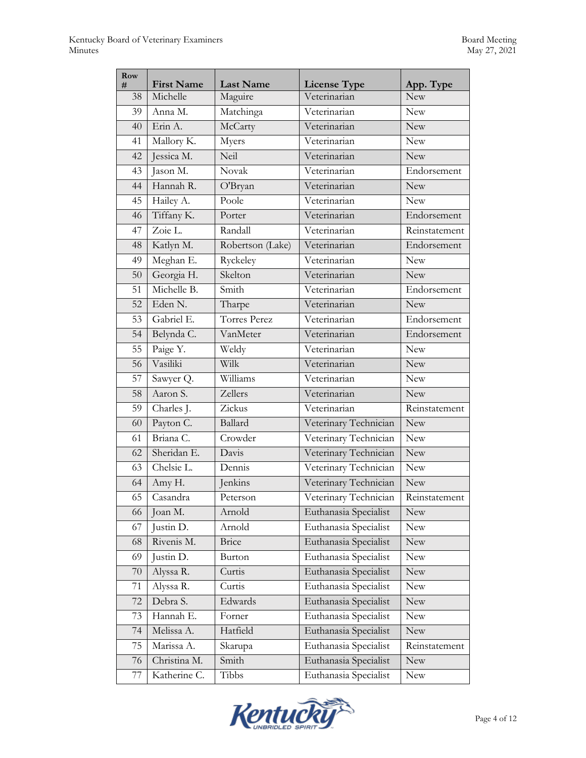| Row<br># | <b>First Name</b> | <b>Last Name</b>    | <b>License Type</b>   | App. Type     |  |
|----------|-------------------|---------------------|-----------------------|---------------|--|
| 38       | Michelle          | Maguire             | Veterinarian          | <b>New</b>    |  |
| 39       | Anna M.           | Matchinga           | Veterinarian          | <b>New</b>    |  |
| 40       | Erin A.           | McCarty             | Veterinarian          | <b>New</b>    |  |
| 41       | Mallory K.        | Myers               | Veterinarian          | <b>New</b>    |  |
| 42       | Jessica M.        | Neil                | Veterinarian          | <b>New</b>    |  |
| 43       | Jason M.          | Novak               | Veterinarian          | Endorsement   |  |
| 44       | Hannah R.         | O'Bryan             | Veterinarian          | <b>New</b>    |  |
| 45       | Hailey A.         | Poole               | Veterinarian          | <b>New</b>    |  |
| 46       | Tiffany K.        | Porter              | Veterinarian          | Endorsement   |  |
| 47       | Zoie L.           | Randall             | Veterinarian          | Reinstatement |  |
| 48       | Katlyn M.         | Robertson (Lake)    | Veterinarian          | Endorsement   |  |
| 49       | Meghan E.         | Ryckeley            | Veterinarian          | <b>New</b>    |  |
| 50       | Georgia H.        | Skelton             | Veterinarian          | New           |  |
| 51       | Michelle B.       | Smith               | Veterinarian          | Endorsement   |  |
| 52       | Eden N.           | Tharpe              | Veterinarian          | <b>New</b>    |  |
| 53       | Gabriel E.        | <b>Torres Perez</b> | Veterinarian          | Endorsement   |  |
| 54       | Belynda C.        | VanMeter            | Veterinarian          | Endorsement   |  |
| 55       | Paige Y.          | Weldy               | Veterinarian          | <b>New</b>    |  |
| 56       | Vasiliki          | Wilk                | Veterinarian          | <b>New</b>    |  |
| 57       | Sawyer Q.         | Williams            | Veterinarian          | <b>New</b>    |  |
| 58       | Aaron S.          | Zellers             | Veterinarian          | <b>New</b>    |  |
| 59       | Charles J.        | Zickus              | Veterinarian          | Reinstatement |  |
| 60       | Payton C.         | Ballard             | Veterinary Technician | <b>New</b>    |  |
| 61       | Briana C.         | Crowder             | Veterinary Technician | <b>New</b>    |  |
| 62       | Sheridan E.       | Davis               | Veterinary Technician | <b>New</b>    |  |
| 63       | Chelsie L.        | Dennis              | Veterinary Technician | New           |  |
| 64       | Amy H.            | Jenkins             | Veterinary Technician | <b>New</b>    |  |
| 65       | Casandra          | Peterson            | Veterinary Technician | Reinstatement |  |
| 66       | Joan M.           | Arnold              | Euthanasia Specialist | <b>New</b>    |  |
| 67       | Justin D.         | Arnold              | Euthanasia Specialist | <b>New</b>    |  |
| 68       | Rivenis M.        | <b>Brice</b>        | Euthanasia Specialist | New           |  |
| 69       | Justin D.         | Burton              | Euthanasia Specialist | <b>New</b>    |  |
| $70\,$   | Alyssa R.         | Curtis              | Euthanasia Specialist | New           |  |
| 71       | Alyssa R.         | Curtis              | Euthanasia Specialist | <b>New</b>    |  |
| 72       | Debra S.          | Edwards             | Euthanasia Specialist | New           |  |
| 73       | Hannah E.         | Forner              | Euthanasia Specialist | <b>New</b>    |  |
| 74       | Melissa A.        | Hatfield            | Euthanasia Specialist | <b>New</b>    |  |
| 75       | Marissa A.        | Skarupa             | Euthanasia Specialist | Reinstatement |  |
| 76       | Christina M.      | Smith               | Euthanasia Specialist | <b>New</b>    |  |
| 77       | Katherine C.      | Tibbs               | Euthanasia Specialist | New           |  |

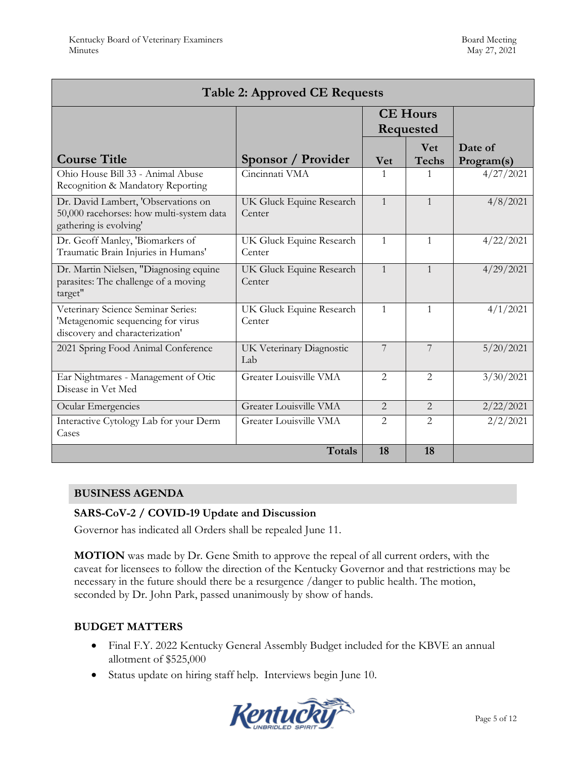| <b>Table 2: Approved CE Requests</b>                                                                       |                                    |                              |                            |                       |  |  |  |
|------------------------------------------------------------------------------------------------------------|------------------------------------|------------------------------|----------------------------|-----------------------|--|--|--|
|                                                                                                            |                                    | <b>CE Hours</b><br>Requested |                            |                       |  |  |  |
| <b>Course Title</b>                                                                                        | Sponsor / Provider                 | <b>Vet</b>                   | <b>Vet</b><br><b>Techs</b> | Date of<br>Program(s) |  |  |  |
| Ohio House Bill 33 - Animal Abuse<br>Recognition & Mandatory Reporting                                     | Cincinnati VMA                     | 1                            | 1                          | 4/27/2021             |  |  |  |
| Dr. David Lambert, 'Observations on<br>50,000 racehorses: how multi-system data<br>gathering is evolving'  | UK Gluck Equine Research<br>Center | $\mathbf{1}$                 | $\mathbf{1}$               | 4/8/2021              |  |  |  |
| Dr. Geoff Manley, 'Biomarkers of<br>Traumatic Brain Injuries in Humans'                                    | UK Gluck Equine Research<br>Center | $\mathbf{1}$                 | $\mathbf{1}$               | 4/22/2021             |  |  |  |
| Dr. Martin Nielsen, "Diagnosing equine<br>parasites: The challenge of a moving<br>target"                  | UK Gluck Equine Research<br>Center | $\mathbf{1}$                 | $\mathbf{1}$               | 4/29/2021             |  |  |  |
| Veterinary Science Seminar Series:<br>'Metagenomic sequencing for virus<br>discovery and characterization' | UK Gluck Equine Research<br>Center | $\mathbf{1}$                 | $\mathbf{1}$               | 4/1/2021              |  |  |  |
| 2021 Spring Food Animal Conference                                                                         | UK Veterinary Diagnostic<br>Lab    | 7                            | 7                          | 5/20/2021             |  |  |  |
| Ear Nightmares - Management of Otic<br>Disease in Vet Med                                                  | Greater Louisville VMA             | $\overline{2}$               | $\overline{2}$             | 3/30/2021             |  |  |  |
| Ocular Emergencies                                                                                         | Greater Louisville VMA             | $\mathcal{L}$                | $\mathcal{L}$              | 2/22/2021             |  |  |  |
| Interactive Cytology Lab for your Derm<br>Cases                                                            | Greater Louisville VMA             | $\mathfrak{D}$               | $\overline{2}$             | 2/2/2021              |  |  |  |
|                                                                                                            | <b>Totals</b>                      | 18                           | 18                         |                       |  |  |  |

#### **BUSINESS AGENDA**

#### **SARS-CoV-2 / COVID-19 Update and Discussion**

Governor has indicated all Orders shall be repealed June 11.

**MOTION** was made by Dr. Gene Smith to approve the repeal of all current orders, with the caveat for licensees to follow the direction of the Kentucky Governor and that restrictions may be necessary in the future should there be a resurgence /danger to public health. The motion, seconded by Dr. John Park, passed unanimously by show of hands.

#### **BUDGET MATTERS**

- Final F.Y. 2022 Kentucky General Assembly Budget included for the KBVE an annual allotment of \$525,000
- Status update on hiring staff help. Interviews begin June 10.

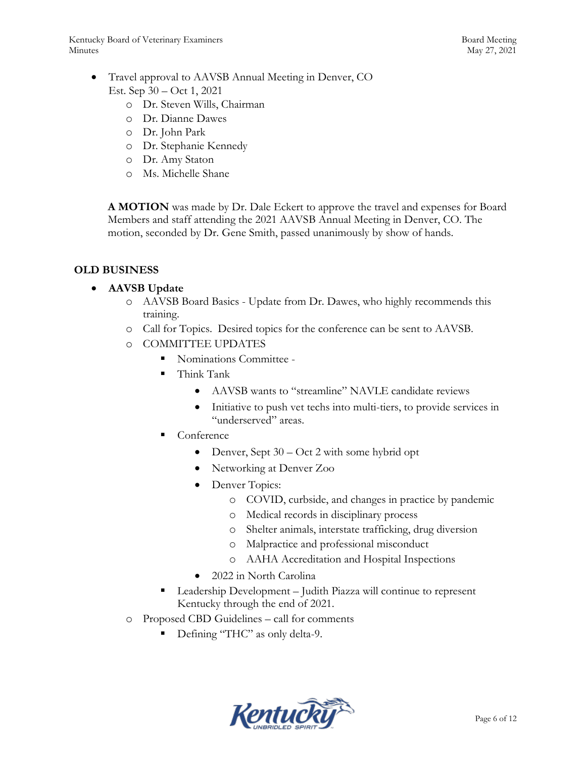Kentucky Board of Veterinary Examiners and the state of the Board Meeting Board Meeting Minutes May 27, 2021

- Travel approval to AAVSB Annual Meeting in Denver, CO Est. Sep 30 – Oct 1, 2021
	- o Dr. Steven Wills, Chairman
	- o Dr. Dianne Dawes
	- o Dr. John Park
	- o Dr. Stephanie Kennedy
	- o Dr. Amy Staton
	- o Ms. Michelle Shane

**A MOTION** was made by Dr. Dale Eckert to approve the travel and expenses for Board Members and staff attending the 2021 AAVSB Annual Meeting in Denver, CO. The motion, seconded by Dr. Gene Smith, passed unanimously by show of hands.

### **OLD BUSINESS**

### **AAVSB Update**

- o AAVSB Board Basics Update from Dr. Dawes, who highly recommends this training.
- o Call for Topics. Desired topics for the conference can be sent to AAVSB.
- o COMMITTEE UPDATES
	- Nominations Committee -
	- **Think Tank** 
		- AAVSB wants to "streamline" NAVLE candidate reviews
		- Initiative to push vet techs into multi-tiers, to provide services in "underserved" areas.
	- Conference
		- Denver, Sept  $30 Oct 2$  with some hybrid opt
		- Networking at Denver Zoo
		- Denver Topics:
			- o COVID, curbside, and changes in practice by pandemic
			- o Medical records in disciplinary process
			- o Shelter animals, interstate trafficking, drug diversion
			- o Malpractice and professional misconduct
			- o AAHA Accreditation and Hospital Inspections
		- 2022 in North Carolina
	- Leadership Development Judith Piazza will continue to represent Kentucky through the end of 2021.
- o Proposed CBD Guidelines call for comments
	- Defining "THC" as only delta-9.

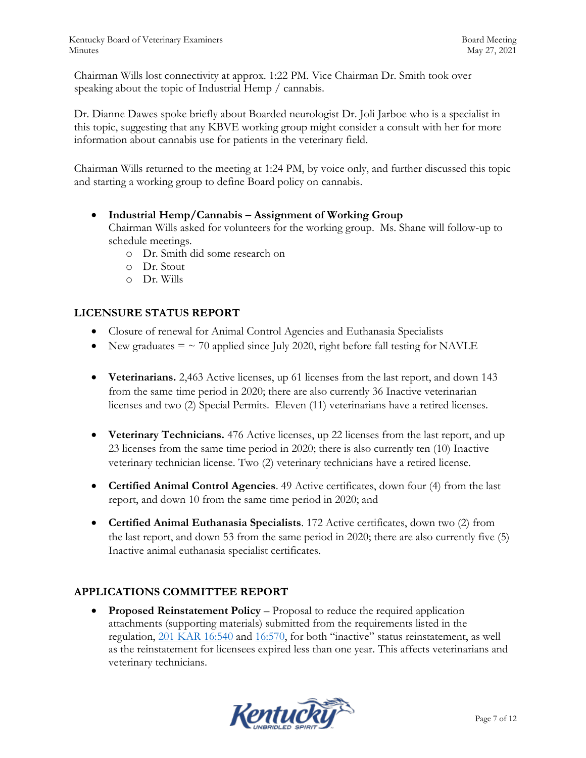Chairman Wills lost connectivity at approx. 1:22 PM. Vice Chairman Dr. Smith took over speaking about the topic of Industrial Hemp / cannabis.

Dr. Dianne Dawes spoke briefly about Boarded neurologist Dr. Joli Jarboe who is a specialist in this topic, suggesting that any KBVE working group might consider a consult with her for more information about cannabis use for patients in the veterinary field.

Chairman Wills returned to the meeting at 1:24 PM, by voice only, and further discussed this topic and starting a working group to define Board policy on cannabis.

**Industrial Hemp/Cannabis – Assignment of Working Group** 

Chairman Wills asked for volunteers for the working group. Ms. Shane will follow-up to schedule meetings.

- o Dr. Smith did some research on
- o Dr. Stout
- o Dr. Wills

### **LICENSURE STATUS REPORT**

- Closure of renewal for Animal Control Agencies and Euthanasia Specialists
- New graduates  $=$   $\sim$  70 applied since July 2020, right before fall testing for NAVLE
- **Veterinarians.** 2,463 Active licenses, up 61 licenses from the last report, and down 143 from the same time period in 2020; there are also currently 36 Inactive veterinarian licenses and two (2) Special Permits. Eleven (11) veterinarians have a retired licenses.
- **Veterinary Technicians.** 476 Active licenses, up 22 licenses from the last report, and up 23 licenses from the same time period in 2020; there is also currently ten (10) Inactive veterinary technician license. Two (2) veterinary technicians have a retired license.
- **Certified Animal Control Agencies**. 49 Active certificates, down four (4) from the last report, and down 10 from the same time period in 2020; and
- **Certified Animal Euthanasia Specialists**. 172 Active certificates, down two (2) from the last report, and down 53 from the same period in 2020; there are also currently five (5) Inactive animal euthanasia specialist certificates.

### **APPLICATIONS COMMITTEE REPORT**

 **Proposed Reinstatement Policy** – Proposal to reduce the required application attachments (supporting materials) submitted from the requirements listed in the regulation, [201 KAR 16:540](https://apps.legislature.ky.gov/law/kar/201/016/540.pdf) and [16:570,](https://apps.legislature.ky.gov/law/kar/201/016/570.pdf) for both "inactive" status reinstatement, as well as the reinstatement for licensees expired less than one year. This affects veterinarians and veterinary technicians.

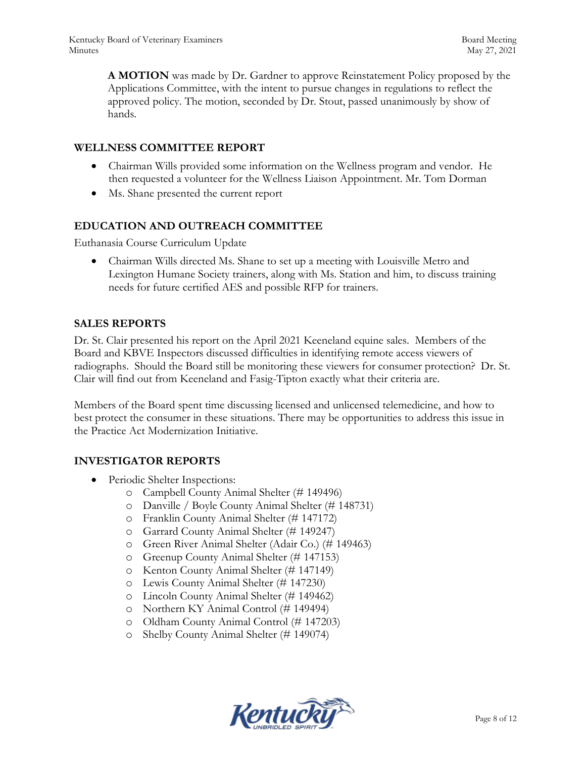**A MOTION** was made by Dr. Gardner to approve Reinstatement Policy proposed by the Applications Committee, with the intent to pursue changes in regulations to reflect the approved policy. The motion, seconded by Dr. Stout, passed unanimously by show of hands.

#### **WELLNESS COMMITTEE REPORT**

- Chairman Wills provided some information on the Wellness program and vendor. He then requested a volunteer for the Wellness Liaison Appointment. Mr. Tom Dorman
- Ms. Shane presented the current report

### **EDUCATION AND OUTREACH COMMITTEE**

Euthanasia Course Curriculum Update

 Chairman Wills directed Ms. Shane to set up a meeting with Louisville Metro and Lexington Humane Society trainers, along with Ms. Station and him, to discuss training needs for future certified AES and possible RFP for trainers.

#### **SALES REPORTS**

Dr. St. Clair presented his report on the April 2021 Keeneland equine sales. Members of the Board and KBVE Inspectors discussed difficulties in identifying remote access viewers of radiographs. Should the Board still be monitoring these viewers for consumer protection? Dr. St. Clair will find out from Keeneland and Fasig-Tipton exactly what their criteria are.

Members of the Board spent time discussing licensed and unlicensed telemedicine, and how to best protect the consumer in these situations. There may be opportunities to address this issue in the Practice Act Modernization Initiative.

#### **INVESTIGATOR REPORTS**

- Periodic Shelter Inspections:
	- o Campbell County Animal Shelter (# 149496)
	- o Danville / Boyle County Animal Shelter (# 148731)
	- o Franklin County Animal Shelter (# 147172)
	- o Garrard County Animal Shelter (# 149247)
	- o Green River Animal Shelter (Adair Co.) (# 149463)
	- o Greenup County Animal Shelter (# 147153)
	- o Kenton County Animal Shelter (# 147149)
	- o Lewis County Animal Shelter (# 147230)
	- o Lincoln County Animal Shelter (# 149462)
	- o Northern KY Animal Control (# 149494)
	- o Oldham County Animal Control (# 147203)
	- o Shelby County Animal Shelter (# 149074)

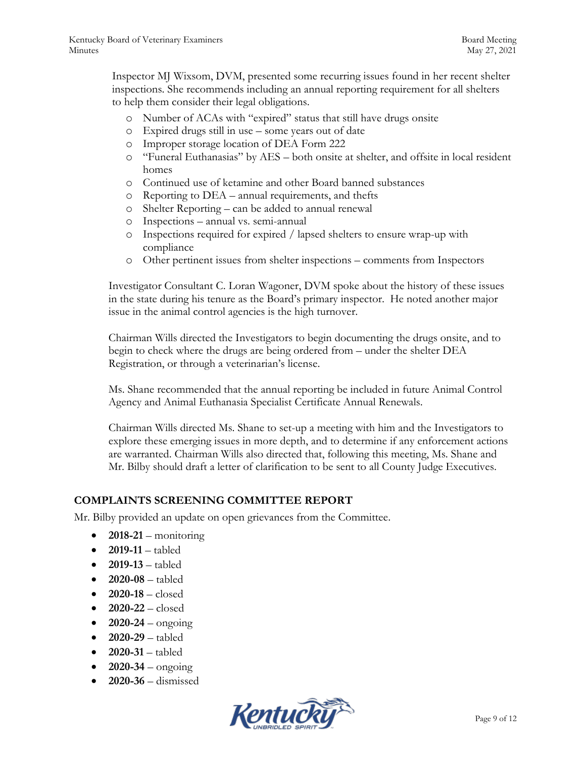Inspector MJ Wixsom, DVM, presented some recurring issues found in her recent shelter inspections. She recommends including an annual reporting requirement for all shelters to help them consider their legal obligations.

- o Number of ACAs with "expired" status that still have drugs onsite
- o Expired drugs still in use some years out of date
- o Improper storage location of DEA Form 222
- o "Funeral Euthanasias" by AES both onsite at shelter, and offsite in local resident homes
- o Continued use of ketamine and other Board banned substances
- o Reporting to DEA annual requirements, and thefts
- o Shelter Reporting can be added to annual renewal
- o Inspections annual vs. semi-annual
- o Inspections required for expired / lapsed shelters to ensure wrap-up with compliance
- o Other pertinent issues from shelter inspections comments from Inspectors

Investigator Consultant C. Loran Wagoner, DVM spoke about the history of these issues in the state during his tenure as the Board's primary inspector. He noted another major issue in the animal control agencies is the high turnover.

Chairman Wills directed the Investigators to begin documenting the drugs onsite, and to begin to check where the drugs are being ordered from – under the shelter DEA Registration, or through a veterinarian's license.

Ms. Shane recommended that the annual reporting be included in future Animal Control Agency and Animal Euthanasia Specialist Certificate Annual Renewals.

Chairman Wills directed Ms. Shane to set-up a meeting with him and the Investigators to explore these emerging issues in more depth, and to determine if any enforcement actions are warranted. Chairman Wills also directed that, following this meeting, Ms. Shane and Mr. Bilby should draft a letter of clarification to be sent to all County Judge Executives.

#### **COMPLAINTS SCREENING COMMITTEE REPORT**

Mr. Bilby provided an update on open grievances from the Committee.

- $\bullet$  **2018-21** monitoring
- **2019-11**  tabled
- **2019-13**  tabled
- **2020-08** tabled
- **2020-18** closed
- **2020-22**  closed
- $2020-24 \text{ongoing}$
- **2020-29**  tabled
- $\bullet$  **2020-31** tabled
- **2020-34**  ongoing
- **2020-36**  dismissed

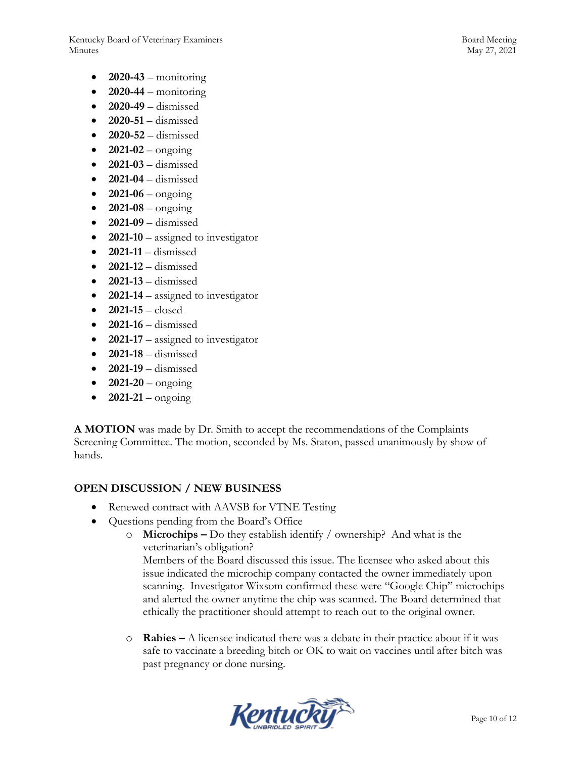Kentucky Board of Veterinary Examiners and the state of the Board Meeting Board Meeting Minutes May 27, 2021

- $\bullet$  **2020-43** monitoring
- $\bullet$  **2020-44** monitoring
- **2020-49**  dismissed
- **2020-51**  dismissed
- **2020-52** dismissed
- $2021-02$  ongoing
- **2021-03**  dismissed
- $\bullet$  **2021-04** dismissed
- $\bullet$  **2021-06** ongoing
- $\bullet$  **2021-08** ongoing
- **2021-09**  dismissed
- **2021-10** assigned to investigator
- **2021-11** dismissed
- **2021-12**  dismissed
- **2021-13** dismissed
- **2021-14** assigned to investigator
- **2021-15** closed
- **2021-16** dismissed
- **2021-17** assigned to investigator
- **2021-18** dismissed
- **2021-19** dismissed
- $\bullet$  **2021-20** ongoing
- $2021-21 \text{ongoing}$

**A MOTION** was made by Dr. Smith to accept the recommendations of the Complaints Screening Committee. The motion, seconded by Ms. Staton, passed unanimously by show of hands.

#### **OPEN DISCUSSION / NEW BUSINESS**

- Renewed contract with AAVSB for VTNE Testing
- Questions pending from the Board's Office
	- o **Microchips –** Do they establish identify / ownership? And what is the veterinarian's obligation?

Members of the Board discussed this issue. The licensee who asked about this issue indicated the microchip company contacted the owner immediately upon scanning. Investigator Wixsom confirmed these were "Google Chip" microchips and alerted the owner anytime the chip was scanned. The Board determined that ethically the practitioner should attempt to reach out to the original owner.

o **Rabies –** A licensee indicated there was a debate in their practice about if it was safe to vaccinate a breeding bitch or OK to wait on vaccines until after bitch was past pregnancy or done nursing.

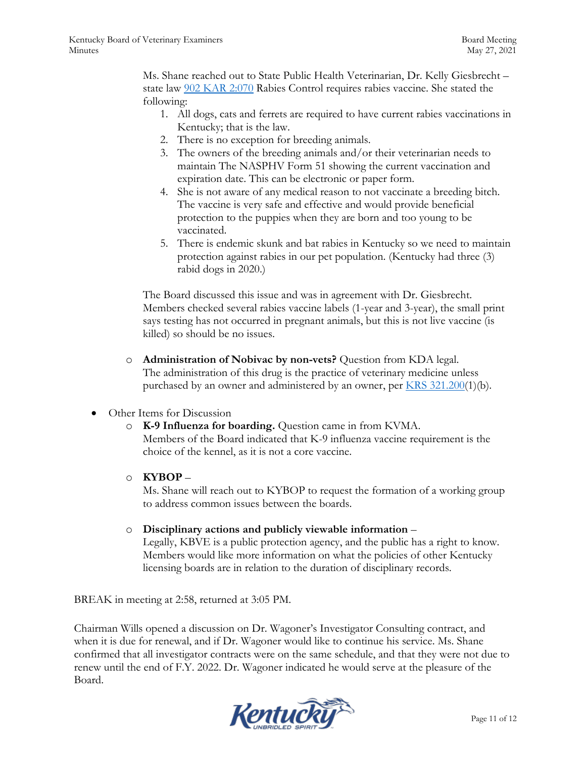Ms. Shane reached out to State Public Health Veterinarian, Dr. Kelly Giesbrecht – state law [902 KAR 2:070](https://apps.legislature.ky.gov/law/kar/902/002/070.pdf) Rabies Control requires rabies vaccine. She stated the following:

- 1. All dogs, cats and ferrets are required to have current rabies vaccinations in Kentucky; that is the law.
- 2. There is no exception for breeding animals.
- 3. The owners of the breeding animals and/or their veterinarian needs to maintain The NASPHV Form 51 showing the current vaccination and expiration date. This can be electronic or paper form.
- 4. She is not aware of any medical reason to not vaccinate a breeding bitch. The vaccine is very safe and effective and would provide beneficial protection to the puppies when they are born and too young to be vaccinated.
- 5. There is endemic skunk and bat rabies in Kentucky so we need to maintain protection against rabies in our pet population. (Kentucky had three (3) rabid dogs in 2020.)

The Board discussed this issue and was in agreement with Dr. Giesbrecht. Members checked several rabies vaccine labels (1-year and 3-year), the small print says testing has not occurred in pregnant animals, but this is not live vaccine (is killed) so should be no issues.

- o **Administration of Nobivac by non-vets?** Question from KDA legal. The administration of this drug is the practice of veterinary medicine unless purchased by an owner and administered by an owner, per [KRS 321.200\(](https://apps.legislature.ky.gov/law/statutes/statute.aspx?id=45325)1)(b).
- Other Items for Discussion
	- o **K-9 Influenza for boarding.** Question came in from KVMA. Members of the Board indicated that K-9 influenza vaccine requirement is the choice of the kennel, as it is not a core vaccine.
	- o **KYBOP** –

Ms. Shane will reach out to KYBOP to request the formation of a working group to address common issues between the boards.

o **Disciplinary actions and publicly viewable information** –

Legally, KBVE is a public protection agency, and the public has a right to know. Members would like more information on what the policies of other Kentucky licensing boards are in relation to the duration of disciplinary records.

BREAK in meeting at 2:58, returned at 3:05 PM.

Chairman Wills opened a discussion on Dr. Wagoner's Investigator Consulting contract, and when it is due for renewal, and if Dr. Wagoner would like to continue his service. Ms. Shane confirmed that all investigator contracts were on the same schedule, and that they were not due to renew until the end of F.Y. 2022. Dr. Wagoner indicated he would serve at the pleasure of the Board.

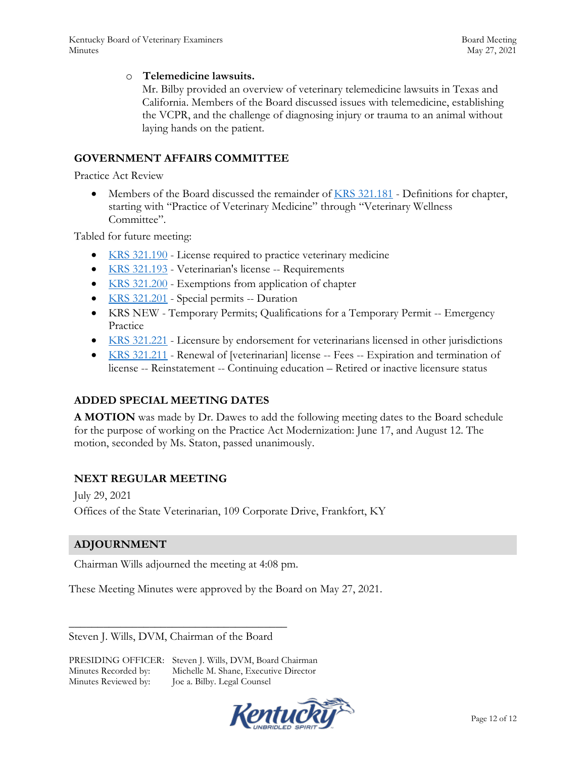#### o **Telemedicine lawsuits.**

Mr. Bilby provided an overview of veterinary telemedicine lawsuits in Texas and California. Members of the Board discussed issues with telemedicine, establishing the VCPR, and the challenge of diagnosing injury or trauma to an animal without laying hands on the patient.

#### **GOVERNMENT AFFAIRS COMMITTEE**

Practice Act Review

 Members of the Board discussed the remainder of [KRS 321.181](https://apps.legislature.ky.gov/law/statutes/statute.aspx?id=45321) - Definitions for chapter, starting with "Practice of Veterinary Medicine" through "Veterinary Wellness Committee".

Tabled for future meeting:

- [KRS 321.190](https://apps.legislature.ky.gov/law/statutes/statute.aspx?id=45323) License required to practice veterinary medicine
- [KRS 321.193](https://apps.legislature.ky.gov/law/statutes/statute.aspx?id=45324) Veterinarian's license -- Requirements
- [KRS 321.200](https://apps.legislature.ky.gov/law/statutes/statute.aspx?id=45325) Exemptions from application of chapter
- [KRS 321.201](https://apps.legislature.ky.gov/law/statutes/statute.aspx?id=45326) Special permits -- Duration
- KRS NEW Temporary Permits; Qualifications for a Temporary Permit -- Emergency Practice
- [KRS 321.221](https://apps.legislature.ky.gov/law/statutes/statute.aspx?id=31387) Licensure by endorsement for veterinarians licensed in other jurisdictions
- [KRS 321.211](https://apps.legislature.ky.gov/law/statutes/statute.aspx?id=45328) Renewal of [veterinarian] license -- Fees -- Expiration and termination of license -- Reinstatement -- Continuing education – Retired or inactive licensure status

#### **ADDED SPECIAL MEETING DATES**

**A MOTION** was made by Dr. Dawes to add the following meeting dates to the Board schedule for the purpose of working on the Practice Act Modernization: June 17, and August 12. The motion, seconded by Ms. Staton, passed unanimously.

### **NEXT REGULAR MEETING**

July 29, 2021 Offices of the State Veterinarian, 109 Corporate Drive, Frankfort, KY

#### **ADJOURNMENT**

Chairman Wills adjourned the meeting at 4:08 pm.

These Meeting Minutes were approved by the Board on May 27, 2021.

Steven J. Wills, DVM, Chairman of the Board

\_\_\_\_\_\_\_\_\_\_\_\_\_\_\_\_\_\_\_\_\_\_\_\_\_\_\_\_\_\_\_\_\_\_\_\_\_\_

PRESIDING OFFICER: Steven J. Wills, DVM, Board Chairman Minutes Recorded by: Michelle M. Shane, Executive Director Minutes Reviewed by: Joe a. Bilby. Legal Counsel

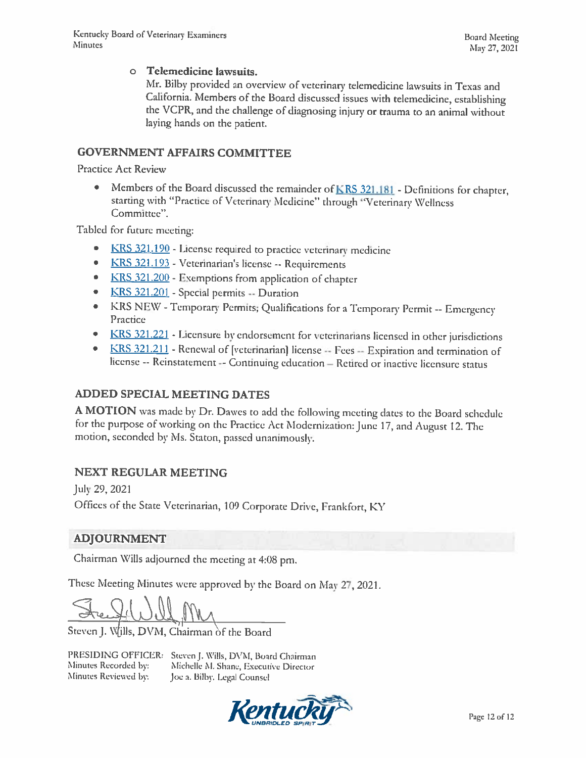#### **O** Telemedicine lawsuits.

Mr. Bilby provided an overview of veterinary telemedicine lawsuits in Texas and California. Members of the Board discussed issues with telemedicine, establishing the VCPR, and the challenge of diagnosing injury or trauma to an animal without laying hands on the patient.

## **GOVERNMENT AFFAIRS COMMITTEE**

**Practice Act Review** 

Members of the Board discussed the remainder of KRS 321.181 - Definitions for chapter,  $\bullet$ starting with "Practice of Veterinary Medicine" through "Veterinary Wellness Committee".

Tabled for future meeting:

- KRS 321.190 License required to practice veterinary medicine ۰
- KRS 321.193 Veterinarian's license -- Requirements  $\bullet$
- KRS 321.200 Exemptions from application of chapter  $\bullet$
- KRS 321.201 Special permits Duration  $\bullet$
- KRS NEW Temporary Permits; Qualifications for a Temporary Permit -- Emergency  $\bullet$ Practice
- KRS 321.221 Licensure by endorsement for veterinarians licensed in other jurisdictions
- KRS 321.211 Renewal of [veterinarian] license -- Fees -- Expiration and termination of license -- Reinstatement -- Continuing education - Retired or inactive licensure status

### **ADDED SPECIAL MEETING DATES**

A MOTION was made by Dr. Dawes to add the following meeting dates to the Board schedule for the purpose of working on the Practice Act Modernization: June 17, and August 12. The motion, seconded by Ms. Staton, passed unanimously.

### **NEXT REGULAR MEETING**

July 29, 2021 Offices of the State Veterinarian, 109 Corporate Drive, Frankfort, KY

### ADJOURNMENT

Chairman Wills adjourned the meeting at 4:08 pm.

These Meeting Minutes were approved by the Board on May 27, 2021.

Steven J. Wills, DVM, Chairman of the Board

Minutes Recorded by: Minutes Reviewed by:

PRESIDING OFFICER: Steven J. Wills, DVM, Board Chairman Michelle M. Shane, Executive Director Joe a. Bilby. Legal Counsel

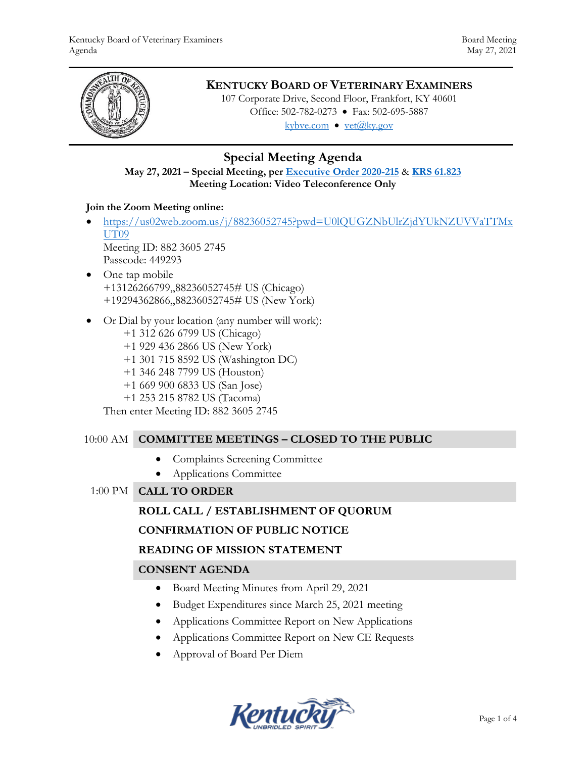

# **KENTUCKY BOARD OF VETERINARY EXAMINERS**

107 Corporate Drive, Second Floor, Frankfort, KY 40601 Office: 502-782-0273 • Fax: 502-695-5887 kybve.com  $\bullet$  yet $(\partial_k ky.gov)$ 

# **Special Meeting Agenda**

### **May 27, 2021 – Special Meeting, per [Executive Order 2020-215](https://governor.ky.gov/attachments/20200306_Executive-Order_2020-215.pdf)** & **[KRS 61.823](https://apps.legislature.ky.gov/law/statutes/statute.aspx?id=23047) Meeting Location: Video Teleconference Only**

### **Join the Zoom Meeting online:**

- [https://us02web.zoom.us/j/88236052745?pwd=U0lQUGZNbUlrZjdYUkNZUVVaTTMx](https://us02web.zoom.us/j/88236052745?pwd=U0lQUGZNbUlrZjdYUkNZUVVaTTMxUT09) [UT09](https://us02web.zoom.us/j/88236052745?pwd=U0lQUGZNbUlrZjdYUkNZUVVaTTMxUT09) Meeting ID: 882 3605 2745 Passcode: 449293
- One tap mobile +13126266799,,88236052745# US (Chicago) +19294362866,,88236052745# US (New York)
- Or Dial by your location (any number will work):
	- +1 312 626 6799 US (Chicago) +1 929 436 2866 US (New York) +1 301 715 8592 US (Washington DC) +1 346 248 7799 US (Houston) +1 669 900 6833 US (San Jose) +1 253 215 8782 US (Tacoma) Then enter Meeting ID: 882 3605 2745

#### 10:00 AM **COMMITTEE MEETINGS – CLOSED TO THE PUBLIC**

- Complaints Screening Committee
- Applications Committee
- 1:00 PM **CALL TO ORDER**

### **ROLL CALL / ESTABLISHMENT OF QUORUM**

#### **CONFIRMATION OF PUBLIC NOTICE**

### **READING OF MISSION STATEMENT**

### **CONSENT AGENDA**

- Board Meeting Minutes from April 29, 2021
- Budget Expenditures since March 25, 2021 meeting
- Applications Committee Report on New Applications
- Applications Committee Report on New CE Requests
- Approval of Board Per Diem

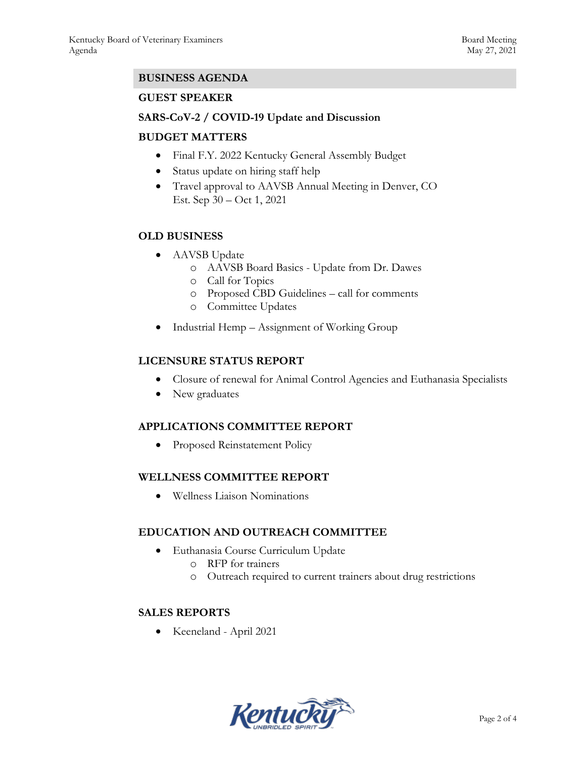### **BUSINESS AGENDA**

### **GUEST SPEAKER**

### **SARS-CoV-2 / COVID-19 Update and Discussion**

### **BUDGET MATTERS**

- Final F.Y. 2022 Kentucky General Assembly Budget
- Status update on hiring staff help
- Travel approval to AAVSB Annual Meeting in Denver, CO Est. Sep 30 – Oct 1, 2021

### **OLD BUSINESS**

- AAVSB Update
	- o AAVSB Board Basics Update from Dr. Dawes
	- o Call for Topics
	- o Proposed CBD Guidelines call for comments
	- o Committee Updates
- Industrial Hemp Assignment of Working Group

### **LICENSURE STATUS REPORT**

- Closure of renewal for Animal Control Agencies and Euthanasia Specialists
- New graduates

### **APPLICATIONS COMMITTEE REPORT**

• Proposed Reinstatement Policy

#### **WELLNESS COMMITTEE REPORT**

Wellness Liaison Nominations

### **EDUCATION AND OUTREACH COMMITTEE**

- Euthanasia Course Curriculum Update
	- o RFP for trainers
	- o Outreach required to current trainers about drug restrictions

### **SALES REPORTS**

Keeneland - April 2021

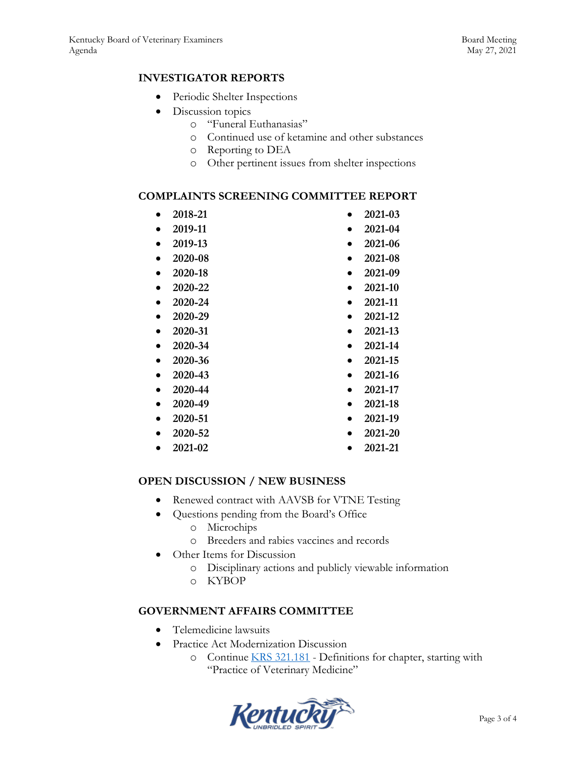### **INVESTIGATOR REPORTS**

- Periodic Shelter Inspections
- Discussion topics
	- o "Funeral Euthanasias"
	- o Continued use of ketamine and other substances
	- o Reporting to DEA
	- o Other pertinent issues from shelter inspections

#### **COMPLAINTS SCREENING COMMITTEE REPORT**

- **2018-21**
- **2019-11**
- **2019-13**
- **2020-08**

 **2020-22 2020-24 2020-29 2020-31 2020-34 2020-36 2020-43 2020-44 2020-49 2020-51 2020-52 2021-02** 

**2020-18**

- 
- **2021-09**
- **2021-10**
- **2021-11**
- **2021-12**
- **2021-13**
- **2021-14**
- **2021-15**
- **2021-16**
- **2021-17**
- **2021-18**
- **2021-19**
- **2021-20**
- **2021-21**

#### **OPEN DISCUSSION / NEW BUSINESS**

- Renewed contract with AAVSB for VTNE Testing
- Questions pending from the Board's Office
	- o Microchips
	- o Breeders and rabies vaccines and records
- Other Items for Discussion
	- o Disciplinary actions and publicly viewable information
	- o KYBOP

#### **GOVERNMENT AFFAIRS COMMITTEE**

- Telemedicine lawsuits
- Practice Act Modernization Discussion
	- o Continue [KRS 321.181](https://apps.legislature.ky.gov/law/statutes/statute.aspx?id=45321) Definitions for chapter, starting with "Practice of Veterinary Medicine"



- **2021-03 2021-04** 
	- **2021-06**
	- **2021-08**
	-